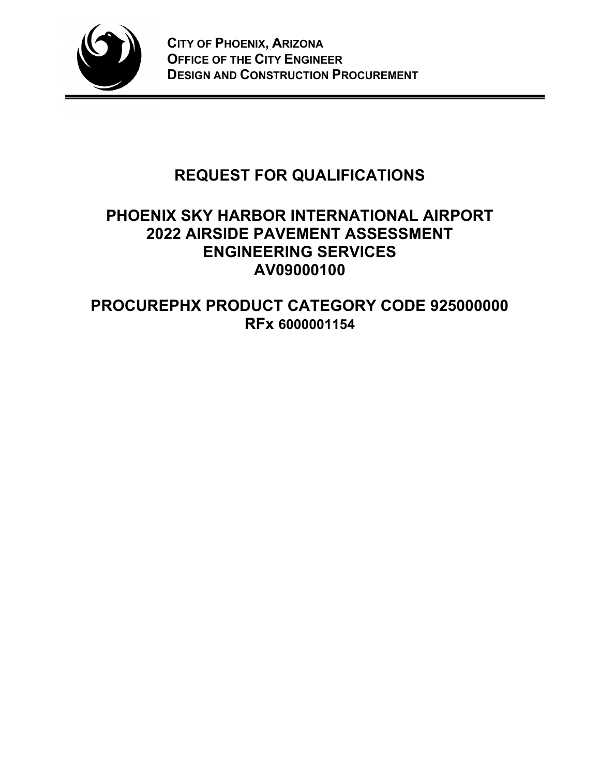

# **REQUEST FOR QUALIFICATIONS**

# **PHOENIX SKY HARBOR INTERNATIONAL AIRPORT 2022 AIRSIDE PAVEMENT ASSESSMENT ENGINEERING SERVICES AV09000100**

**PROCUREPHX PRODUCT CATEGORY CODE 925000000 RFx 6000001154**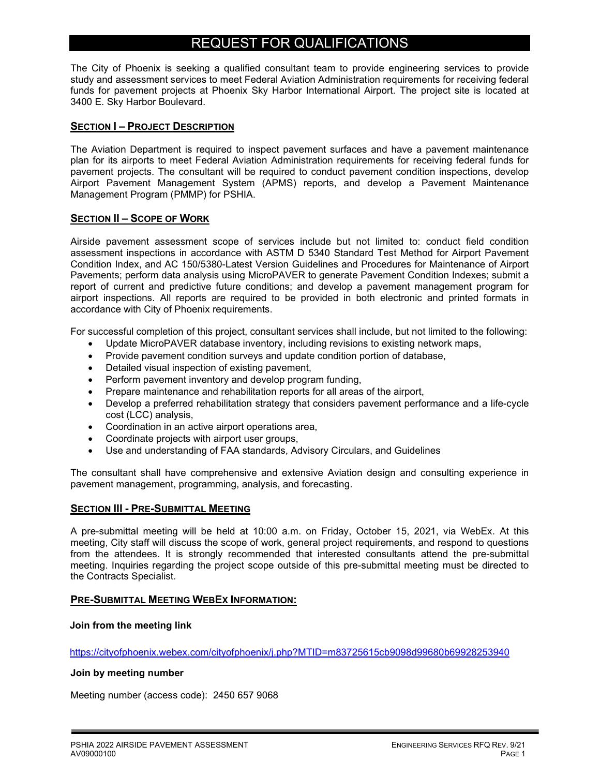# REQUEST FOR QUALIFICATIONS

The City of Phoenix is seeking a qualified consultant team to provide engineering services to provide study and assessment services to meet Federal Aviation Administration requirements for receiving federal funds for pavement projects at Phoenix Sky Harbor International Airport. The project site is located at 3400 E. Sky Harbor Boulevard.

### **SECTION I – PROJECT DESCRIPTION**

The Aviation Department is required to inspect pavement surfaces and have a pavement maintenance plan for its airports to meet Federal Aviation Administration requirements for receiving federal funds for pavement projects. The consultant will be required to conduct pavement condition inspections, develop Airport Pavement Management System (APMS) reports, and develop a Pavement Maintenance Management Program (PMMP) for PSHIA.

### **SECTION II – SCOPE OF WORK**

Airside pavement assessment scope of services include but not limited to: conduct field condition assessment inspections in accordance with ASTM D 5340 Standard Test Method for Airport Pavement Condition Index, and AC 150/5380-Latest Version Guidelines and Procedures for Maintenance of Airport Pavements; perform data analysis using MicroPAVER to generate Pavement Condition Indexes; submit a report of current and predictive future conditions; and develop a pavement management program for airport inspections. All reports are required to be provided in both electronic and printed formats in accordance with City of Phoenix requirements.

For successful completion of this project, consultant services shall include, but not limited to the following:

- Update MicroPAVER database inventory, including revisions to existing network maps,
- Provide pavement condition surveys and update condition portion of database,
- Detailed visual inspection of existing pavement,
- Perform pavement inventory and develop program funding,
- Prepare maintenance and rehabilitation reports for all areas of the airport,
- Develop a preferred rehabilitation strategy that considers pavement performance and a life-cycle cost (LCC) analysis,
- Coordination in an active airport operations area,
- Coordinate projects with airport user groups,
- Use and understanding of FAA standards, Advisory Circulars, and Guidelines

The consultant shall have comprehensive and extensive Aviation design and consulting experience in pavement management, programming, analysis, and forecasting.

#### **SECTION III - PRE-SUBMITTAL MEETING**

A pre-submittal meeting will be held at 10:00 a.m. on Friday, October 15, 2021, via WebEx. At this meeting, City staff will discuss the scope of work, general project requirements, and respond to questions from the attendees. It is strongly recommended that interested consultants attend the pre-submittal meeting. Inquiries regarding the project scope outside of this pre-submittal meeting must be directed to the Contracts Specialist.

#### **PRE-SUBMITTAL MEETING WEBEX INFORMATION:**

#### **Join from the meeting link**

https://cityofphoenix.webex.com/cityofphoenix/j.php?MTID=m83725615cb9098d99680b69928253940

#### **Join by meeting number**

Meeting number (access code): 2450 657 9068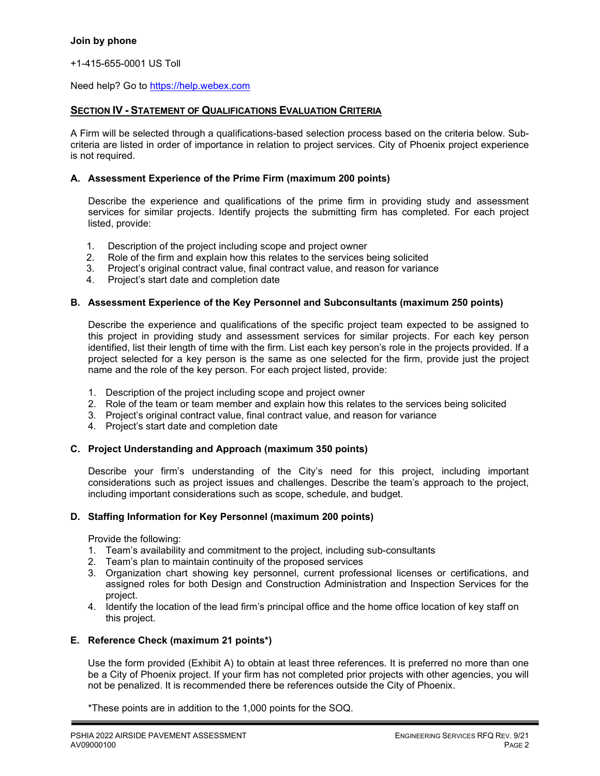+1-415-655-0001 US Toll

Need help? Go to https://help.webex.com

#### **SECTION IV - STATEMENT OF QUALIFICATIONS EVALUATION CRITERIA**

A Firm will be selected through a qualifications-based selection process based on the criteria below. Subcriteria are listed in order of importance in relation to project services. City of Phoenix project experience is not required.

#### **A. Assessment Experience of the Prime Firm (maximum 200 points)**

Describe the experience and qualifications of the prime firm in providing study and assessment services for similar projects. Identify projects the submitting firm has completed. For each project listed, provide:

- 
- 1. Description of the project including scope and project owner<br>2. Role of the firm and explain how this relates to the services b
- 2. Role of the firm and explain how this relates to the services being solicited<br>3. Project's original contract value, final contract value, and reason for varianc Project's original contract value, final contract value, and reason for variance
- 4. Project's start date and completion date

#### **B. Assessment Experience of the Key Personnel and Subconsultants (maximum 250 points)**

Describe the experience and qualifications of the specific project team expected to be assigned to this project in providing study and assessment services for similar projects. For each key person identified, list their length of time with the firm. List each key person's role in the projects provided. If a project selected for a key person is the same as one selected for the firm, provide just the project name and the role of the key person. For each project listed, provide:

- 1. Description of the project including scope and project owner
- 2. Role of the team or team member and explain how this relates to the services being solicited
- 3. Project's original contract value, final contract value, and reason for variance
- 4. Project's start date and completion date

#### **C. Project Understanding and Approach (maximum 350 points)**

Describe your firm's understanding of the City's need for this project, including important considerations such as project issues and challenges. Describe the team's approach to the project, including important considerations such as scope, schedule, and budget.

#### **D. Staffing Information for Key Personnel (maximum 200 points)**

Provide the following:

- 1. Team's availability and commitment to the project, including sub-consultants
- 2. Team's plan to maintain continuity of the proposed services
- 3. Organization chart showing key personnel, current professional licenses or certifications, and assigned roles for both Design and Construction Administration and Inspection Services for the project.
- 4. Identify the location of the lead firm's principal office and the home office location of key staff on this project.

#### **E. Reference Check (maximum 21 points\*)**

Use the form provided (Exhibit A) to obtain at least three references. It is preferred no more than one be a City of Phoenix project. If your firm has not completed prior projects with other agencies, you will not be penalized. It is recommended there be references outside the City of Phoenix.

\*These points are in addition to the 1,000 points for the SOQ.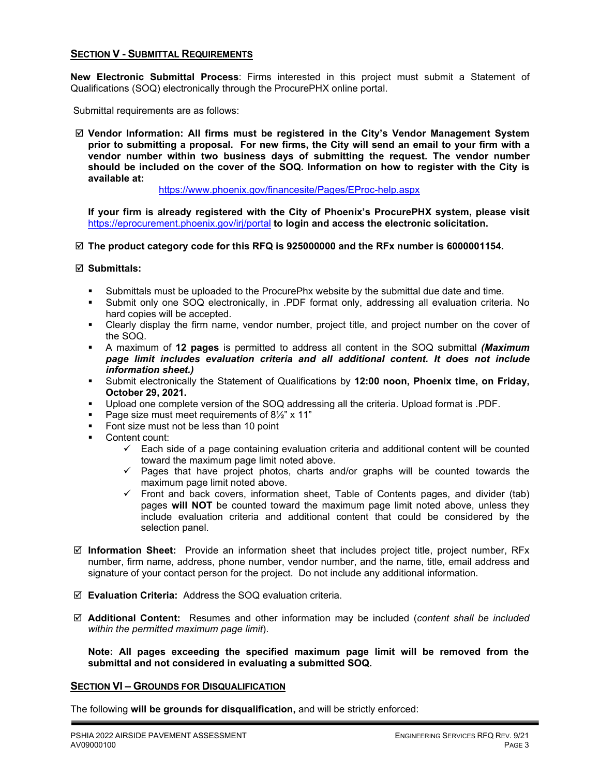#### **SECTION V - SUBMITTAL REQUIREMENTS**

**New Electronic Submittal Process**: Firms interested in this project must submit a Statement of Qualifications (SOQ) electronically through the ProcurePHX online portal.

Submittal requirements are as follows:

 **Vendor Information: All firms must be registered in the City's Vendor Management System prior to submitting a proposal. For new firms, the City will send an email to your firm with a vendor number within two business days of submitting the request. The vendor number should be included on the cover of the SOQ. Information on how to register with the City is available at:** 

<https://www.phoenix.gov/financesite/Pages/EProc-help.aspx>

**If your firm is already registered with the City of Phoenix's ProcurePHX system, please visit**  <https://eprocurement.phoenix.gov/irj/portal> **to login and access the electronic solicitation.**

**The product category code for this RFQ is 925000000 and the RFx number is 6000001154.** 

**Submittals:**

- Submittals must be uploaded to the ProcurePhx website by the submittal due date and time.
- Submit only one SOQ electronically, in .PDF format only, addressing all evaluation criteria. No hard copies will be accepted.
- Clearly display the firm name, vendor number, project title, and project number on the cover of the SOQ.
- A maximum of **12 pages** is permitted to address all content in the SOQ submittal *(Maximum page limit includes evaluation criteria and all additional content. It does not include information sheet.)*
- Submit electronically the Statement of Qualifications by **12:00 noon, Phoenix time, on Friday, October 29, 2021.**
- Upload one complete version of the SOQ addressing all the criteria. Upload format is .PDF.
- Page size must meet requirements of 8<sup>1/2</sup>" x 11"
- Font size must not be less than 10 point
- Content count:
	- $\checkmark$  Each side of a page containing evaluation criteria and additional content will be counted toward the maximum page limit noted above.
	- $\checkmark$  Pages that have project photos, charts and/or graphs will be counted towards the maximum page limit noted above.
	- $\checkmark$  Front and back covers, information sheet, Table of Contents pages, and divider (tab) pages **will NOT** be counted toward the maximum page limit noted above, unless they include evaluation criteria and additional content that could be considered by the selection panel.
- **Information Sheet:** Provide an information sheet that includes project title, project number, RFx number, firm name, address, phone number, vendor number, and the name, title, email address and signature of your contact person for the project. Do not include any additional information.
- **Evaluation Criteria:** Address the SOQ evaluation criteria.
- **Additional Content:** Resumes and other information may be included (*content shall be included within the permitted maximum page limit*).

**Note: All pages exceeding the specified maximum page limit will be removed from the submittal and not considered in evaluating a submitted SOQ.** 

#### **SECTION VI – GROUNDS FOR DISQUALIFICATION**

The following **will be grounds for disqualification,** and will be strictly enforced: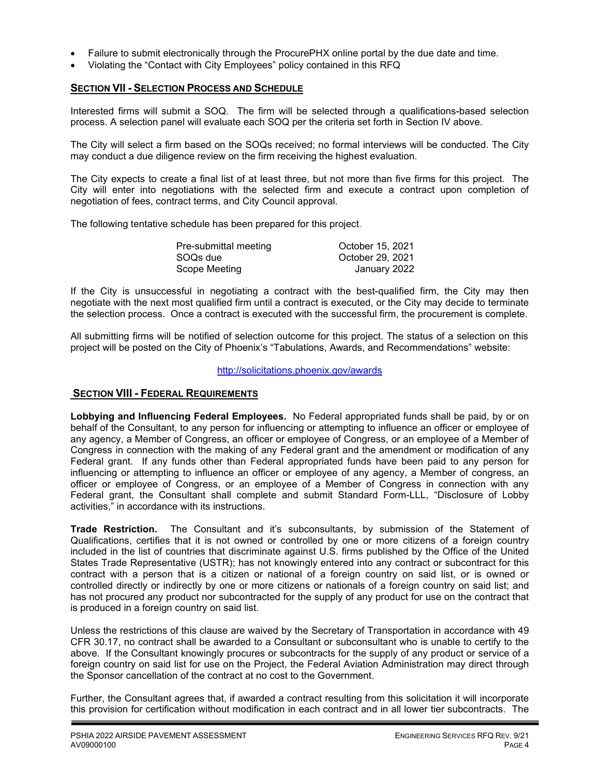- Failure to submit electronically through the ProcurePHX online portal by the due date and time.
- Violating the "Contact with City Employees" policy contained in this RFQ

### **SECTION VII - SELECTION PROCESS AND SCHEDULE**

Interested firms will submit a SOQ. The firm will be selected through a qualifications-based selection process. A selection panel will evaluate each SOQ per the criteria set forth in Section IV above.

The City will select a firm based on the SOQs received; no formal interviews will be conducted. The City may conduct a due diligence review on the firm receiving the highest evaluation.

The City expects to create a final list of at least three, but not more than five firms for this project. The City will enter into negotiations with the selected firm and execute a contract upon completion of negotiation of fees, contract terms, and City Council approval.

The following tentative schedule has been prepared for this project.

| Pre-submittal meeting | October 15, 2021 |  |
|-----------------------|------------------|--|
| SOQs due              | October 29, 2021 |  |
| Scope Meeting         | January 2022     |  |

If the City is unsuccessful in negotiating a contract with the best-qualified firm, the City may then negotiate with the next most qualified firm until a contract is executed, or the City may decide to terminate the selection process. Once a contract is executed with the successful firm, the procurement is complete.

All submitting firms will be notified of selection outcome for this project. The status of a selection on this project will be posted on the City of Phoenix's "Tabulations, Awards, and Recommendations" website:

<http://solicitations.phoenix.gov/awards>

#### **SECTION VIII - FEDERAL REQUIREMENTS**

**Lobbying and Influencing Federal Employees.** No Federal appropriated funds shall be paid, by or on behalf of the Consultant, to any person for influencing or attempting to influence an officer or employee of any agency, a Member of Congress, an officer or employee of Congress, or an employee of a Member of Congress in connection with the making of any Federal grant and the amendment or modification of any Federal grant. If any funds other than Federal appropriated funds have been paid to any person for influencing or attempting to influence an officer or employee of any agency, a Member of congress, an officer or employee of Congress, or an employee of a Member of Congress in connection with any Federal grant, the Consultant shall complete and submit Standard Form-LLL, "Disclosure of Lobby activities," in accordance with its instructions.

**Trade Restriction.** The Consultant and it's subconsultants, by submission of the Statement of Qualifications, certifies that it is not owned or controlled by one or more citizens of a foreign country included in the list of countries that discriminate against U.S. firms published by the Office of the United States Trade Representative (USTR); has not knowingly entered into any contract or subcontract for this contract with a person that is a citizen or national of a foreign country on said list, or is owned or controlled directly or indirectly by one or more citizens or nationals of a foreign country on said list; and has not procured any product nor subcontracted for the supply of any product for use on the contract that is produced in a foreign country on said list.

Unless the restrictions of this clause are waived by the Secretary of Transportation in accordance with 49 CFR 30.17, no contract shall be awarded to a Consultant or subconsultant who is unable to certify to the above. If the Consultant knowingly procures or subcontracts for the supply of any product or service of a foreign country on said list for use on the Project, the Federal Aviation Administration may direct through the Sponsor cancellation of the contract at no cost to the Government.

Further, the Consultant agrees that, if awarded a contract resulting from this solicitation it will incorporate this provision for certification without modification in each contract and in all lower tier subcontracts. The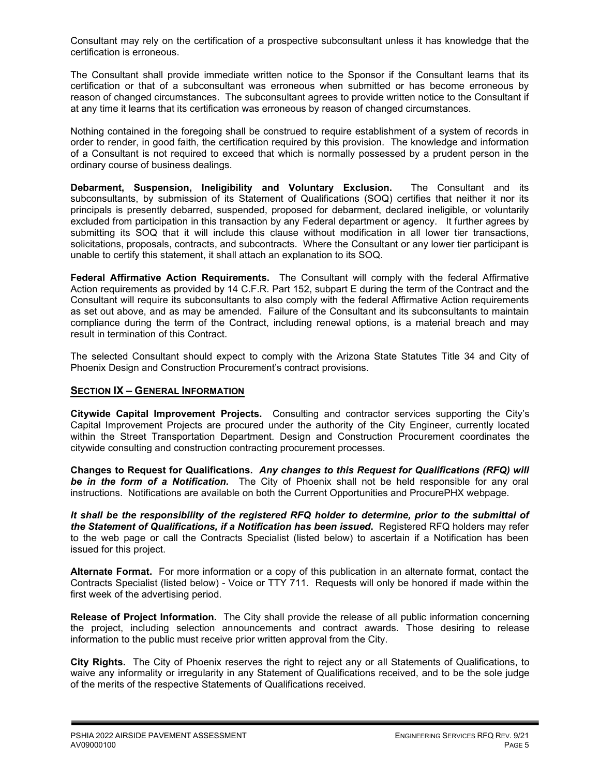Consultant may rely on the certification of a prospective subconsultant unless it has knowledge that the certification is erroneous.

The Consultant shall provide immediate written notice to the Sponsor if the Consultant learns that its certification or that of a subconsultant was erroneous when submitted or has become erroneous by reason of changed circumstances. The subconsultant agrees to provide written notice to the Consultant if at any time it learns that its certification was erroneous by reason of changed circumstances.

Nothing contained in the foregoing shall be construed to require establishment of a system of records in order to render, in good faith, the certification required by this provision. The knowledge and information of a Consultant is not required to exceed that which is normally possessed by a prudent person in the ordinary course of business dealings.

**Debarment, Suspension, Ineligibility and Voluntary Exclusion.** The Consultant and its subconsultants, by submission of its Statement of Qualifications (SOQ) certifies that neither it nor its principals is presently debarred, suspended, proposed for debarment, declared ineligible, or voluntarily excluded from participation in this transaction by any Federal department or agency. It further agrees by submitting its SOQ that it will include this clause without modification in all lower tier transactions, solicitations, proposals, contracts, and subcontracts. Where the Consultant or any lower tier participant is unable to certify this statement, it shall attach an explanation to its SOQ.

**Federal Affirmative Action Requirements.** The Consultant will comply with the federal Affirmative Action requirements as provided by 14 C.F.R. Part 152, subpart E during the term of the Contract and the Consultant will require its subconsultants to also comply with the federal Affirmative Action requirements as set out above, and as may be amended. Failure of the Consultant and its subconsultants to maintain compliance during the term of the Contract, including renewal options, is a material breach and may result in termination of this Contract.

The selected Consultant should expect to comply with the Arizona State Statutes Title 34 and City of Phoenix Design and Construction Procurement's contract provisions.

## **SECTION IX – GENERAL INFORMATION**

**Citywide Capital Improvement Projects.** Consulting and contractor services supporting the City's Capital Improvement Projects are procured under the authority of the City Engineer, currently located within the Street Transportation Department. Design and Construction Procurement coordinates the citywide consulting and construction contracting procurement processes.

**Changes to Request for Qualifications.** *Any changes to this Request for Qualifications (RFQ) will be in the form of a Notification.* The City of Phoenix shall not be held responsible for any oral instructions. Notifications are available on both the Current Opportunities and ProcurePHX webpage.

*It shall be the responsibility of the registered RFQ holder to determine, prior to the submittal of the Statement of Qualifications, if a Notification has been issued***.** Registered RFQ holders may refer to the web page or call the Contracts Specialist (listed below) to ascertain if a Notification has been issued for this project.

**Alternate Format.** For more information or a copy of this publication in an alternate format, contact the Contracts Specialist (listed below) - Voice or TTY 711. Requests will only be honored if made within the first week of the advertising period.

**Release of Project Information.** The City shall provide the release of all public information concerning the project, including selection announcements and contract awards. Those desiring to release information to the public must receive prior written approval from the City.

**City Rights.** The City of Phoenix reserves the right to reject any or all Statements of Qualifications, to waive any informality or irregularity in any Statement of Qualifications received, and to be the sole judge of the merits of the respective Statements of Qualifications received.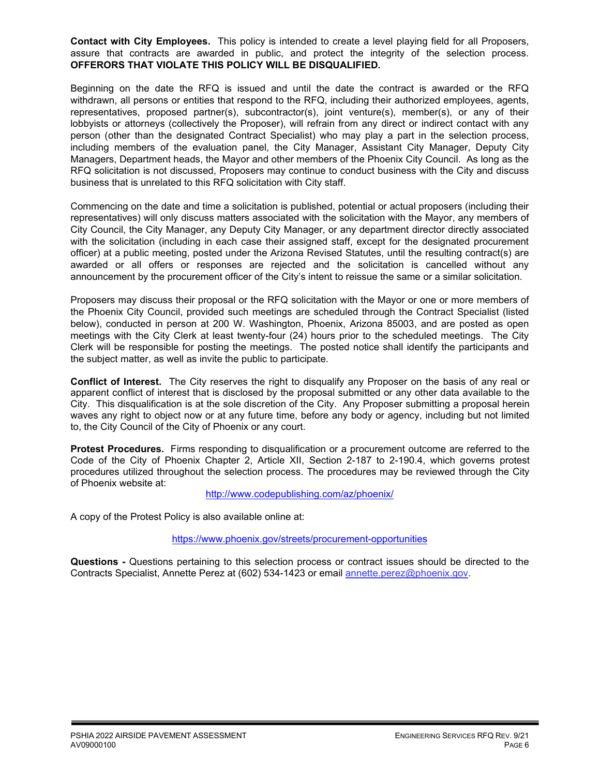**Contact with City Employees.** This policy is intended to create a level playing field for all Proposers, assure that contracts are awarded in public, and protect the integrity of the selection process. **OFFERORS THAT VIOLATE THIS POLICY WILL BE DISQUALIFIED.**

Beginning on the date the RFQ is issued and until the date the contract is awarded or the RFQ withdrawn, all persons or entities that respond to the RFQ, including their authorized employees, agents, representatives, proposed partner(s), subcontractor(s), joint venture(s), member(s), or any of their lobbyists or attorneys (collectively the Proposer), will refrain from any direct or indirect contact with any person (other than the designated Contract Specialist) who may play a part in the selection process, including members of the evaluation panel, the City Manager, Assistant City Manager, Deputy City Managers, Department heads, the Mayor and other members of the Phoenix City Council. As long as the RFQ solicitation is not discussed, Proposers may continue to conduct business with the City and discuss business that is unrelated to this RFQ solicitation with City staff.

Commencing on the date and time a solicitation is published, potential or actual proposers (including their representatives) will only discuss matters associated with the solicitation with the Mayor, any members of City Council, the City Manager, any Deputy City Manager, or any department director directly associated with the solicitation (including in each case their assigned staff, except for the designated procurement officer) at a public meeting, posted under the Arizona Revised Statutes, until the resulting contract(s) are awarded or all offers or responses are rejected and the solicitation is cancelled without any announcement by the procurement officer of the City's intent to reissue the same or a similar solicitation.

Proposers may discuss their proposal or the RFQ solicitation with the Mayor or one or more members of the Phoenix City Council, provided such meetings are scheduled through the Contract Specialist (listed below), conducted in person at 200 W. Washington, Phoenix, Arizona 85003, and are posted as open meetings with the City Clerk at least twenty-four (24) hours prior to the scheduled meetings. The City Clerk will be responsible for posting the meetings. The posted notice shall identify the participants and the subject matter, as well as invite the public to participate.

**Conflict of Interest.** The City reserves the right to disqualify any Proposer on the basis of any real or apparent conflict of interest that is disclosed by the proposal submitted or any other data available to the City. This disqualification is at the sole discretion of the City. Any Proposer submitting a proposal herein waves any right to object now or at any future time, before any body or agency, including but not limited to, the City Council of the City of Phoenix or any court.

**Protest Procedures.** Firms responding to disqualification or a procurement outcome are referred to the Code of the City of Phoenix Chapter 2, Article XII, Section 2-187 to 2-190.4, which governs protest procedures utilized throughout the selection process. The procedures may be reviewed through the City of Phoenix website at:

<http://www.codepublishing.com/az/phoenix/>

A copy of the Protest Policy is also available online at:

<https://www.phoenix.gov/streets/procurement-opportunities>

**Questions -** Questions pertaining to this selection process or contract issues should be directed to the Contracts Specialist, Annette Perez at (602) 534-1423 or email annette.perez@phoenix.gov.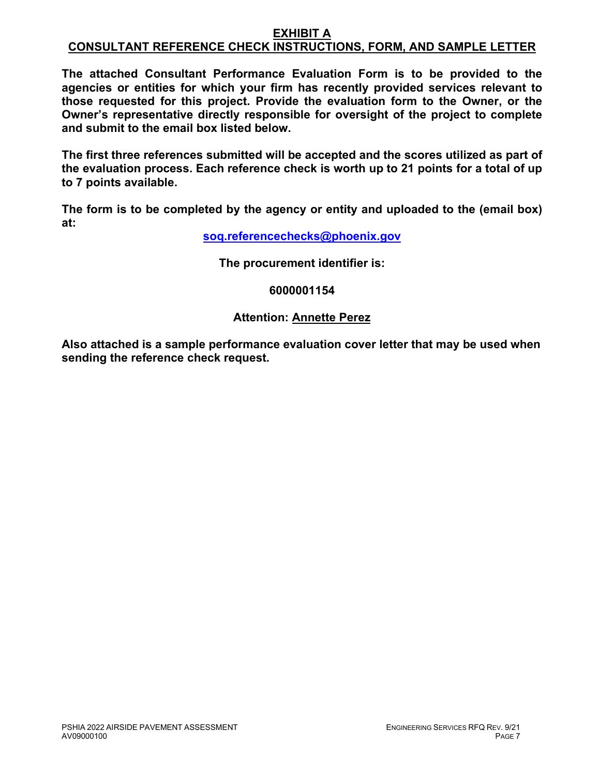#### **EXHIBIT A CONSULTANT REFERENCE CHECK INSTRUCTIONS, FORM, AND SAMPLE LETTER**

**The attached Consultant Performance Evaluation Form is to be provided to the agencies or entities for which your firm has recently provided services relevant to those requested for this project. Provide the evaluation form to the Owner, or the Owner's representative directly responsible for oversight of the project to complete and submit to the email box listed below.**

**The first three references submitted will be accepted and the scores utilized as part of the evaluation process. Each reference check is worth up to 21 points for a total of up to 7 points available.**

**The form is to be completed by the agency or entity and uploaded to the (email box) at:**

**[soq.referencechecks@phoenix.gov](mailto:soq.referencechecks@phoenix.gov)**

**The procurement identifier is:**

**6000001154**

# **Attention: Annette Perez**

**Also attached is a sample performance evaluation cover letter that may be used when sending the reference check request.**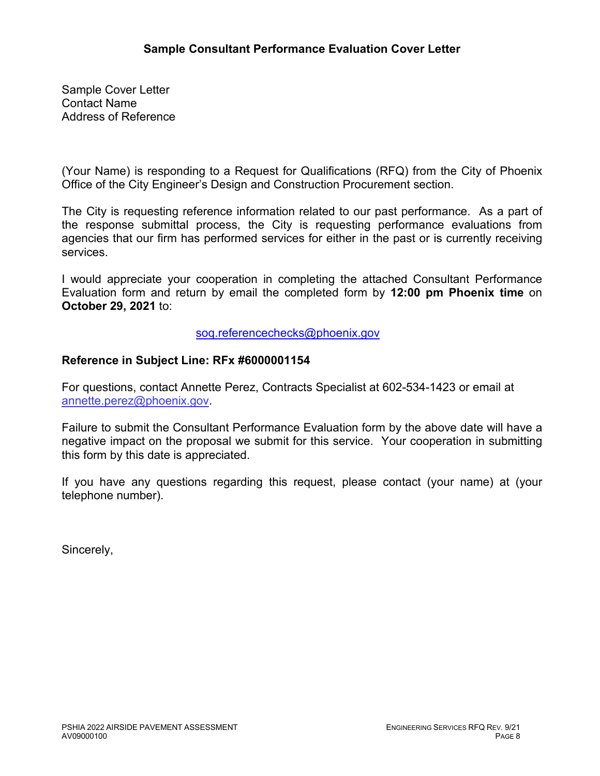Sample Cover Letter Contact Name Address of Reference

(Your Name) is responding to a Request for Qualifications (RFQ) from the City of Phoenix Office of the City Engineer's Design and Construction Procurement section.

The City is requesting reference information related to our past performance. As a part of the response submittal process, the City is requesting performance evaluations from agencies that our firm has performed services for either in the past or is currently receiving services.

I would appreciate your cooperation in completing the attached Consultant Performance Evaluation form and return by email the completed form by **12:00 pm Phoenix time** on **October 29, 2021** to:

[soq.referencechecks@phoenix.gov](mailto:soq.referencechecks@phoenix.gov)

# **Reference in Subject Line: RFx #6000001154**

For questions, contact Annette Perez, Contracts Specialist at 602-534-1423 or email at annette.perez@phoenix.gov.

Failure to submit the Consultant Performance Evaluation form by the above date will have a negative impact on the proposal we submit for this service. Your cooperation in submitting this form by this date is appreciated.

If you have any questions regarding this request, please contact (your name) at (your telephone number).

Sincerely,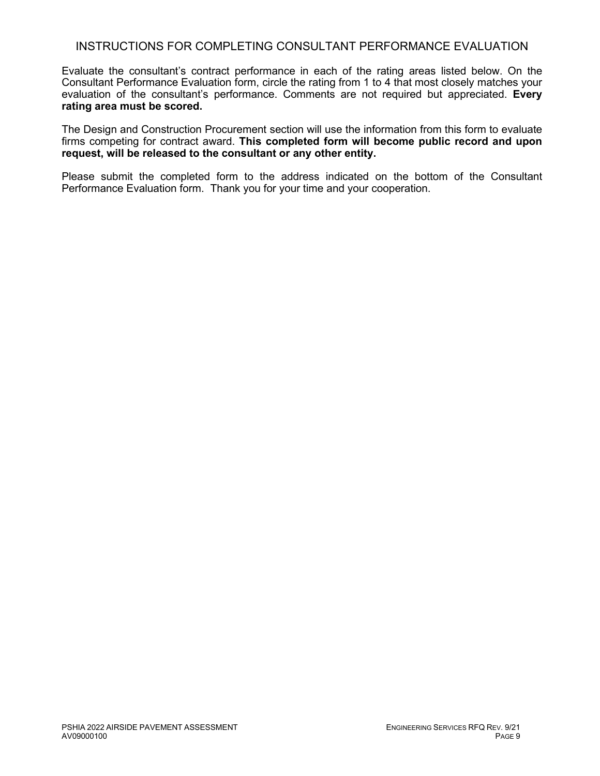## INSTRUCTIONS FOR COMPLETING CONSULTANT PERFORMANCE EVALUATION

Evaluate the consultant's contract performance in each of the rating areas listed below. On the Consultant Performance Evaluation form, circle the rating from 1 to 4 that most closely matches your evaluation of the consultant's performance. Comments are not required but appreciated. **Every rating area must be scored.** 

The Design and Construction Procurement section will use the information from this form to evaluate firms competing for contract award. **This completed form will become public record and upon request, will be released to the consultant or any other entity.**

Please submit the completed form to the address indicated on the bottom of the Consultant Performance Evaluation form. Thank you for your time and your cooperation.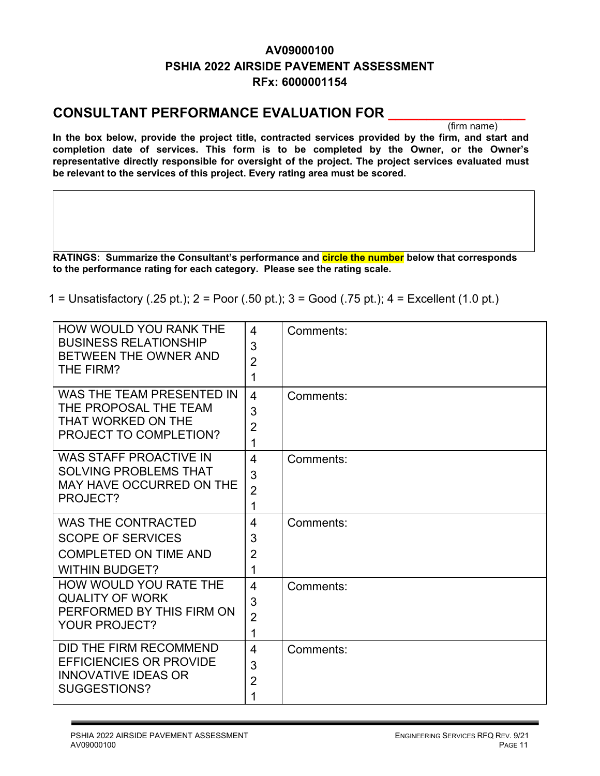# **AV09000100 PSHIA 2022 AIRSIDE PAVEMENT ASSESSMENT RFx: 6000001154**

# **CONSULTANT PERFORMANCE EVALUATION FOR \_\_\_\_\_\_\_\_\_\_\_\_\_\_\_\_\_\_**

(firm name)

**In the box below, provide the project title, contracted services provided by the firm, and start and completion date of services. This form is to be completed by the Owner, or the Owner's representative directly responsible for oversight of the project. The project services evaluated must be relevant to the services of this project. Every rating area must be scored.** 

**RATINGS: Summarize the Consultant's performance and circle the number below that corresponds to the performance rating for each category. Please see the rating scale.**

1 = Unsatisfactory (.25 pt.); 2 = Poor (.50 pt.); 3 = Good (.75 pt.); 4 = Excellent (1.0 pt.)

| <b>HOW WOULD YOU RANK THE</b>               | 4              | Comments: |
|---------------------------------------------|----------------|-----------|
| <b>BUSINESS RELATIONSHIP</b>                | 3              |           |
| BETWEEN THE OWNER AND<br>THE FIRM?          | $\overline{2}$ |           |
|                                             | 1              |           |
| WAS THE TEAM PRESENTED IN                   | 4              | Comments: |
| THE PROPOSAL THE TEAM                       | 3              |           |
| THAT WORKED ON THE                          | $\overline{2}$ |           |
| <b>PROJECT TO COMPLETION?</b>               | 1              |           |
| <b>WAS STAFF PROACTIVE IN</b>               | $\overline{4}$ | Comments: |
| <b>SOLVING PROBLEMS THAT</b>                | 3              |           |
| <b>MAY HAVE OCCURRED ON THE</b><br>PROJECT? | $\overline{2}$ |           |
|                                             | 1              |           |
| <b>WAS THE CONTRACTED</b>                   | $\overline{4}$ | Comments: |
| <b>SCOPE OF SERVICES</b>                    | 3              |           |
| <b>COMPLETED ON TIME AND</b>                | $\overline{2}$ |           |
| <b>WITHIN BUDGET?</b>                       | 1              |           |
| HOW WOULD YOU RATE THE                      | $\overline{4}$ | Comments: |
| <b>QUALITY OF WORK</b>                      | 3              |           |
| PERFORMED BY THIS FIRM ON                   | $\overline{2}$ |           |
| <b>YOUR PROJECT?</b>                        | 1              |           |
| DID THE FIRM RECOMMEND                      | 4              | Comments: |
| <b>EFFICIENCIES OR PROVIDE</b>              | 3              |           |
| <b>INNOVATIVE IDEAS OR</b>                  | $\overline{2}$ |           |
| SUGGESTIONS?                                | 1              |           |